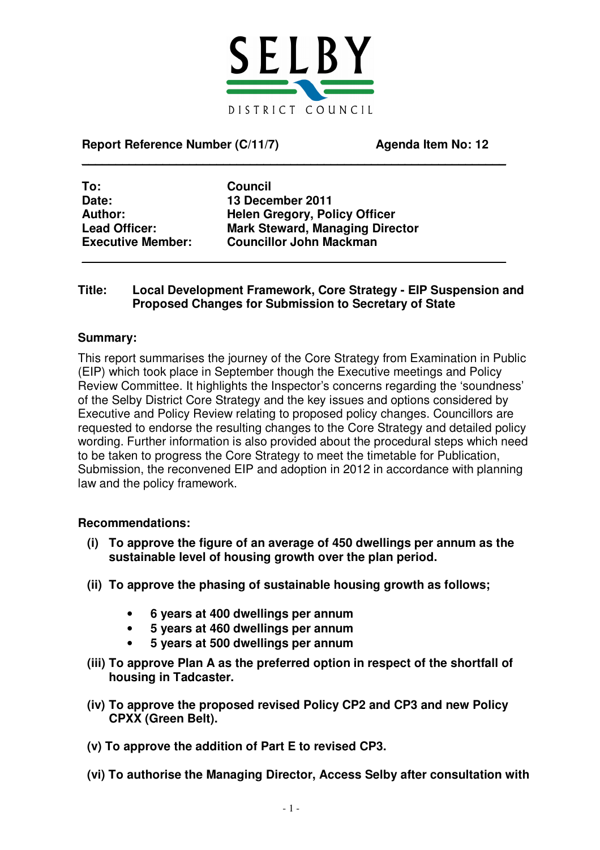

 $\mathcal{L}_\text{max}$  , and the contract of the contract of the contract of the contract of the contract of the contract of the contract of the contract of the contract of the contract of the contract of the contract of the contr

**Report Reference Number (C/11/7) Agenda Item No: 12**

**To: Council Date: 13 December 2011**

**Author: Helen Gregory, Policy Officer Lead Officer: Mark Steward, Managing Director Executive Member: Councillor John Mackman**

#### **Title: Local Development Framework, Core Strategy - EIP Suspension and Proposed Changes for Submission to Secretary of State**

 $\mathcal{L}_\text{max}$  , and the contract of the contract of the contract of the contract of the contract of the contract of the contract of the contract of the contract of the contract of the contract of the contract of the contr

### **Summary:**

This report summarises the journey of the Core Strategy from Examination in Public (EIP) which took place in September though the Executive meetings and Policy Review Committee. It highlights the Inspector's concerns regarding the 'soundness' of the Selby District Core Strategy and the key issues and options considered by Executive and Policy Review relating to proposed policy changes. Councillors are requested to endorse the resulting changes to the Core Strategy and detailed policy wording. Further information is also provided about the procedural steps which need to be taken to progress the Core Strategy to meet the timetable for Publication, Submission, the reconvened EIP and adoption in 2012 in accordance with planning law and the policy framework.

#### **Recommendations:**

- **(i) To approve the figure of an average of 450 dwellings per annum as the sustainable level of housing growth over the plan period.**
- **(ii) To approve the phasing of sustainable housing growth as follows;**
	- **6 years at 400 dwellings per annum**
	- **5 years at 460 dwellings per annum**
	- **5 years at 500 dwellings per annum**
- **(iii) To approve Plan A as the preferred option in respect of the shortfall of housing in Tadcaster.**
- **(iv) To approve the proposed revised Policy CP2 and CP3 and new Policy CPXX (Green Belt).**
- **(v) To approve the addition of Part E to revised CP3.**
- **(vi) To authorise the Managing Director, Access Selby after consultation with**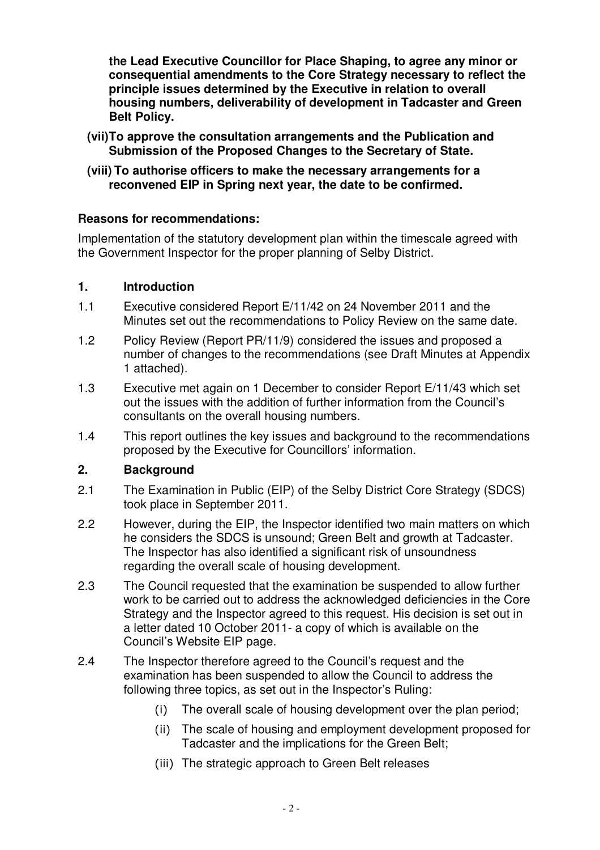**the Lead Executive Councillor for Place Shaping, to agree any minor or consequential amendments to the Core Strategy necessary to reflect the principle issues determined by the Executive in relation to overall housing numbers, deliverability of development in Tadcaster and Green Belt Policy.**

- **(vii)To approve the consultation arrangements and the Publication and Submission of the Proposed Changes to the Secretary of State.**
- **(viii) To authorise officers to make the necessary arrangements for a reconvened EIP in Spring next year, the date to be confirmed.**

# **Reasons for recommendations:**

Implementation of the statutory development plan within the timescale agreed with the Government Inspector for the proper planning of Selby District.

# **1. Introduction**

- 1.1 Executive considered Report E/11/42 on 24 November 2011 and the Minutes set out the recommendations to Policy Review on the same date.
- 1.2 Policy Review (Report PR/11/9) considered the issues and proposed a number of changes to the recommendations (see Draft Minutes at Appendix 1 attached).
- 1.3 Executive met again on 1 December to consider Report E/11/43 which set out the issues with the addition of further information from the Council's consultants on the overall housing numbers.
- 1.4 This report outlines the key issues and background to the recommendations proposed by the Executive for Councillors' information.

# **2. Background**

- 2.1 The Examination in Public (EIP) of the Selby District Core Strategy (SDCS) took place in September 2011.
- 2.2 However, during the EIP, the Inspector identified two main matters on which he considers the SDCS is unsound; Green Belt and growth at Tadcaster. The Inspector has also identified a significant risk of unsoundness regarding the overall scale of housing development.
- 2.3 The Council requested that the examination be suspended to allow further work to be carried out to address the acknowledged deficiencies in the Core Strategy and the Inspector agreed to this request. His decision is set out in a letter dated 10 October 2011- a copy of which is available on the Council's Website EIP page.
- 2.4 The Inspector therefore agreed to the Council's request and the examination has been suspended to allow the Council to address the following three topics, as set out in the Inspector's Ruling:
	- $(i)$ The overall scale of housing development over the plan period;
	- (ii) The scale of housing and employment development proposed for Tadcaster and the implications for the Green Belt;
	- (iii) The strategic approach to Green Belt releases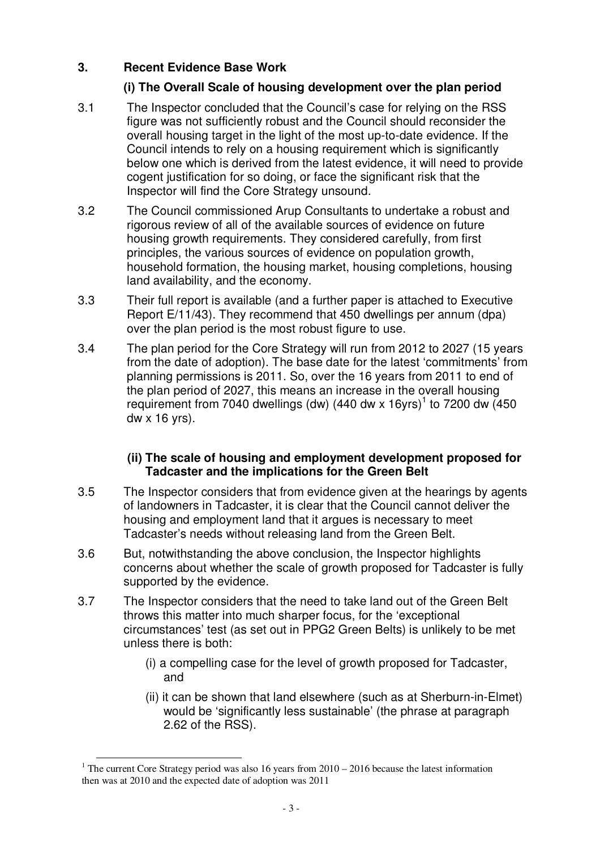# **3. Recent Evidence Base Work**

# **(i) The Overall Scale of housing development over the plan period**

- 3.1 The Inspector concluded that the Council's case for relying on the RSS figure was not sufficiently robust and the Council should reconsider the overall housing target in the light of the most up-to-date evidence. If the Council intends to rely on a housing requirement which is significantly below one which is derived from the latest evidence, it will need to provide cogent justification for so doing, or face the significant risk that the Inspector will find the Core Strategy unsound.
- 3.2 The Council commissioned Arup Consultants to undertake a robust and rigorous review of all of the available sources of evidence on future housing growth requirements. They considered carefully, from first principles, the various sources of evidence on population growth, household formation, the housing market, housing completions, housing land availability, and the economy.
- 3.3 Their full report is available (and a further paper is attached to Executive Report E/11/43). They recommend that 450 dwellings per annum (dpa) over the plan period is the most robust figure to use.
- 3.4 The plan period for the Core Strategy will run from 2012 to 2027 (15 years from the date of adoption). The base date for the latest 'commitments' from planning permissions is 2011. So, over the 16 years from 2011 to end of the plan period of 2027, this means an increase in the overall housing requirement from 7040 dwellings (dw) (440 dw x 16yrs)<sup>1</sup> to 7200 dw (450 dw x 16 yrs).

### **(ii) The scale of housing and employment development proposed for Tadcaster and the implications for the Green Belt**

- 3.5 The Inspector considers that from evidence given at the hearings by agents of landowners in Tadcaster, it is clear that the Council cannot deliver the housing and employment land that it argues is necessary to meet Tadcaster's needs without releasing land from the Green Belt.
- 3.6 But, notwithstanding the above conclusion, the Inspector highlights concerns about whether the scale of growth proposed for Tadcaster is fully supported by the evidence.
- 3.7 The Inspector considers that the need to take land out of the Green Belt throws this matter into much sharper focus, for the 'exceptional circumstances' test (as set out in PPG2 Green Belts) is unlikely to be met unless there is both:
	- (i) a compelling case for the level of growth proposed for Tadcaster, and
	- (ii) it can be shown that land elsewhere (such as at Sherburn-in-Elmet) would be 'significantly less sustainable' (the phrase at paragraph 2.62 of the RSS).

<sup>&</sup>lt;sup>1</sup> The current Core Strategy period was also 16 years from  $2010 - 2016$  because the latest information then was at 2010 and the expected date of adoption was 2011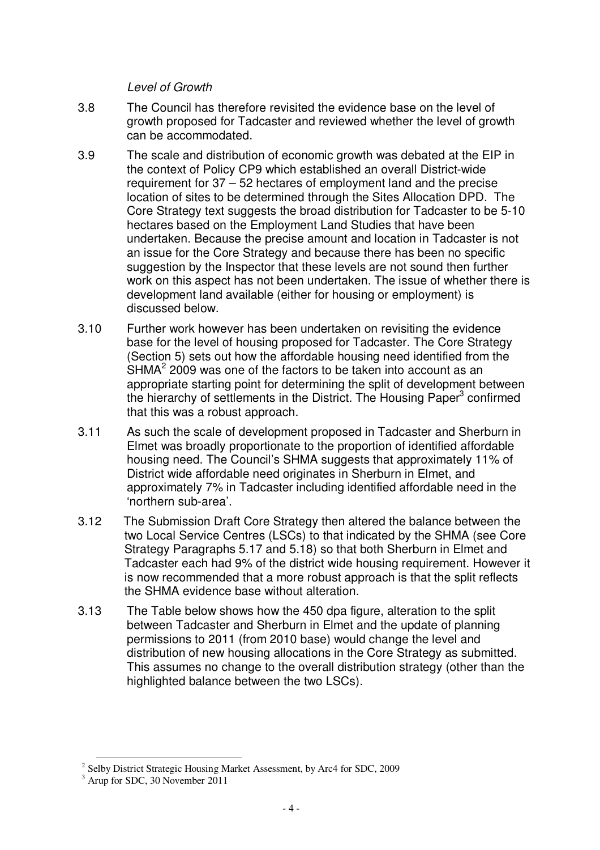*Level of Growth*

- 3.8 The Council has therefore revisited the evidence base on the level of growth proposed for Tadcaster and reviewed whether the level of growth can be accommodated.
- 3.9 The scale and distribution of economic growth was debated at the EIP in the context of Policy CP9 which established an overall District-wide requirement for 37 – 52 hectares of employment land and the precise location of sites to be determined through the Sites Allocation DPD. The Core Strategy text suggests the broad distribution for Tadcaster to be 5-10 hectares based on the Employment Land Studies that have been undertaken. Because the precise amount and location in Tadcaster is not an issue for the Core Strategy and because there has been no specific suggestion by the Inspector that these levels are not sound then further work on this aspect has not been undertaken. The issue of whether there is development land available (either for housing or employment) is discussed below.
- 3.10 Further work however has been undertaken on revisiting the evidence base for the level of housing proposed for Tadcaster. The Core Strategy (Section 5) sets out how the affordable housing need identified from the  $SHMA<sup>2</sup>$  2009 was one of the factors to be taken into account as an appropriate starting point for determining the split of development between the hierarchy of settlements in the District. The Housing Paper<sup>3</sup> confirmed that this was a robust approach.
- 3.11 As such the scale of development proposed in Tadcaster and Sherburn in Elmet was broadly proportionate to the proportion of identified affordable housing need. The Council's SHMA suggests that approximately 11% of District wide affordable need originates in Sherburn in Elmet, and approximately 7% in Tadcaster including identified affordable need in the 'northern sub-area'.
- 3.12 The Submission Draft Core Strategy then altered the balance between the two Local Service Centres (LSCs) to that indicated by the SHMA (see Core Strategy Paragraphs 5.17 and 5.18) so that both Sherburn in Elmet and Tadcaster each had 9% of the district wide housing requirement. However it is now recommended that a more robust approach is that the split reflects the SHMA evidence base without alteration.
- 3.13 The Table below shows how the 450 dpa figure, alteration to the split between Tadcaster and Sherburn in Elmet and the update of planning permissions to 2011 (from 2010 base) would change the level and distribution of new housing allocations in the Core Strategy as submitted. This assumes no change to the overall distribution strategy (other than the highlighted balance between the two LSCs).

<sup>&</sup>lt;sup>2</sup> Selby District Strategic Housing Market Assessment, by Arc4 for SDC, 2009

<sup>&</sup>lt;sup>3</sup> Arup for SDC, 30 November 2011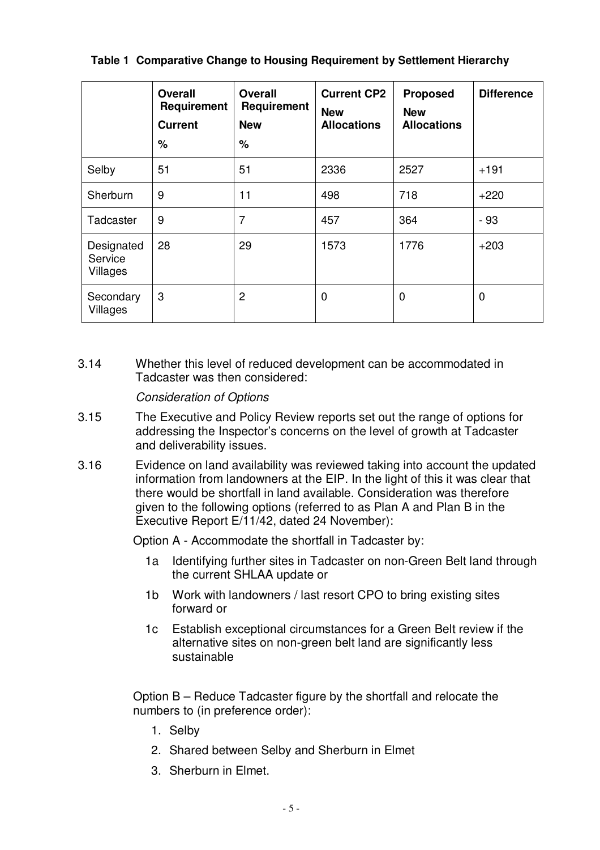|                                   | <b>Overall</b><br>Requirement<br><b>Current</b><br>% | <b>Overall</b><br>Requirement<br><b>New</b><br>% | <b>Current CP2</b><br><b>New</b><br><b>Allocations</b> | <b>Proposed</b><br><b>New</b><br><b>Allocations</b> | <b>Difference</b> |
|-----------------------------------|------------------------------------------------------|--------------------------------------------------|--------------------------------------------------------|-----------------------------------------------------|-------------------|
| Selby                             | 51                                                   | 51                                               | 2336                                                   | 2527                                                | $+191$            |
| Sherburn                          | 9                                                    | 11                                               | 498                                                    | 718                                                 | $+220$            |
| Tadcaster                         | 9                                                    | 7                                                | 457                                                    | 364                                                 | $-93$             |
| Designated<br>Service<br>Villages | 28                                                   | 29                                               | 1573                                                   | 1776                                                | $+203$            |
| Secondary<br>Villages             | 3                                                    | 2                                                | $\mathbf 0$                                            | 0                                                   | 0                 |

3.14 Whether this level of reduced development can be accommodated in Tadcaster was then considered:

# *Consideration of Options*

- 3.15 The Executive and Policy Review reports set out the range of options for addressing the Inspector's concerns on the level of growth at Tadcaster and deliverability issues.
- 3.16 Evidence on land availability was reviewed taking into account the updated information from landowners at the EIP. In the light of this it was clear that there would be shortfall in land available. Consideration was therefore given to the following options (referred to as Plan A and Plan B in the Executive Report E/11/42, dated 24 November):

Option A - Accommodate the shortfall in Tadcaster by:

- 1a Identifying further sites in Tadcaster on non-Green Belt land through the current SHLAA update or
- 1b Work with landowners / last resort CPO to bring existing sites forward or
- 1c Establish exceptional circumstances for a Green Belt review if the alternative sites on non-green belt land are significantly less sustainable

Option B – Reduce Tadcaster figure by the shortfall and relocate the numbers to (in preference order):

- 1. Selby
- 2. Shared between Selby and Sherburn in Elmet
- 3. Sherburn in Elmet.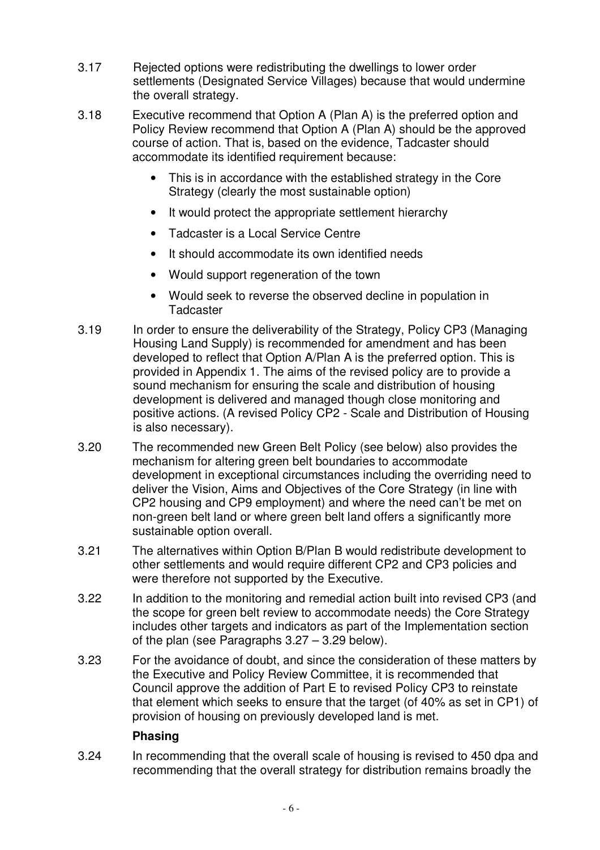- 3.17 Rejected options were redistributing the dwellings to lower order settlements (Designated Service Villages) because that would undermine the overall strategy.
- 3.18 Executive recommend that Option A (Plan A) is the preferred option and Policy Review recommend that Option A (Plan A) should be the approved course of action. That is, based on the evidence, Tadcaster should accommodate its identified requirement because:
	- This is in accordance with the established strategy in the Core Strategy (clearly the most sustainable option)
	- It would protect the appropriate settlement hierarchy
	- Tadcaster is a Local Service Centre
	- It should accommodate its own identified needs
	- Would support regeneration of the town
	- Would seek to reverse the observed decline in population in **Tadcaster**
- 3.19 In order to ensure the deliverability of the Strategy, Policy CP3 (Managing Housing Land Supply) is recommended for amendment and has been developed to reflect that Option A/Plan A is the preferred option. This is provided in Appendix 1. The aims of the revised policy are to provide a sound mechanism for ensuring the scale and distribution of housing development is delivered and managed though close monitoring and positive actions. (A revised Policy CP2 - Scale and Distribution of Housing is also necessary).
- 3.20 The recommended new Green Belt Policy (see below) also provides the mechanism for altering green belt boundaries to accommodate development in exceptional circumstances including the overriding need to deliver the Vision, Aims and Objectives of the Core Strategy (in line with CP2 housing and CP9 employment) and where the need can't be met on non-green belt land or where green belt land offers a significantly more sustainable option overall.
- 3.21 The alternatives within Option B/Plan B would redistribute development to other settlements and would require different CP2 and CP3 policies and were therefore not supported by the Executive.
- 3.22 In addition to the monitoring and remedial action built into revised CP3 (and the scope for green belt review to accommodate needs) the Core Strategy includes other targets and indicators as part of the Implementation section of the plan (see Paragraphs 3.27 – 3.29 below).
- 3.23 For the avoidance of doubt, and since the consideration of these matters by the Executive and Policy Review Committee, it is recommended that Council approve the addition of Part E to revised Policy CP3 to reinstate that element which seeks to ensure that the target (of 40% as set in CP1) of provision of housing on previously developed land is met.

# **Phasing**

3.24 In recommending that the overall scale of housing is revised to 450 dpa and recommending that the overall strategy for distribution remains broadly the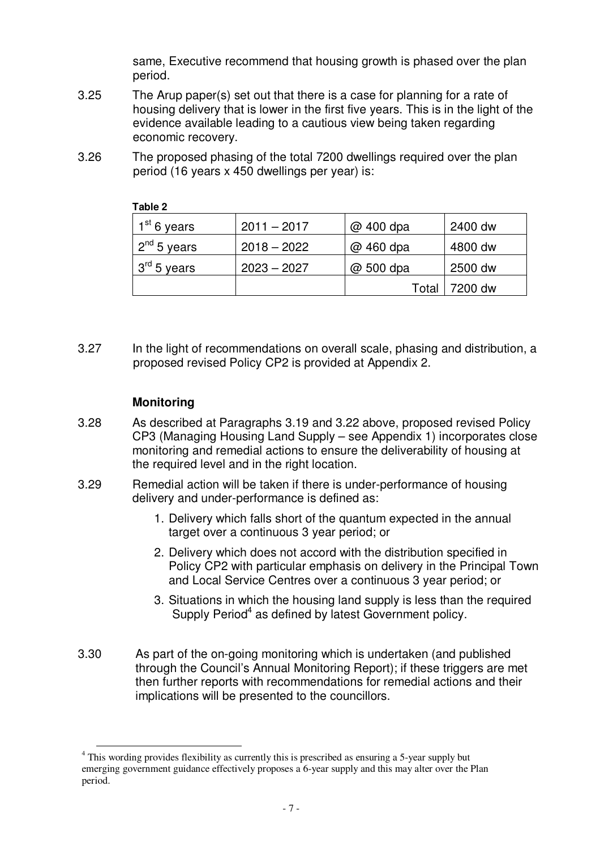same, Executive recommend that housing growth is phased over the plan period.

- 3.25 The Arup paper(s) set out that there is a case for planning for a rate of housing delivery that is lower in the first five years. This is in the light of the evidence available leading to a cautious view being taken regarding economic recovery.
- 3.26 The proposed phasing of the total 7200 dwellings required over the plan period (16 years x 450 dwellings per year) is:

| $1st$ 6 years                         | $2011 - 2017$ | @ 400 dpa | 2400 dw |
|---------------------------------------|---------------|-----------|---------|
| $\vert$ 2 <sup>nd</sup> 5 years       | $2018 - 2022$ | @ 460 dpa | 4800 dw |
| $\frac{1}{3}$ 3 <sup>rd</sup> 5 years | $2023 - 2027$ | @ 500 dpa | 2500 dw |
|                                       |               | Total     | 7200 dw |

#### **Table 2**

3.27 In the light of recommendations on overall scale, phasing and distribution, a proposed revised Policy CP2 is provided at Appendix 2.

### **Monitoring**

- 3.28 As described at Paragraphs 3.19 and 3.22 above, proposed revised Policy CP3 (Managing Housing Land Supply – see Appendix 1) incorporates close monitoring and remedial actions to ensure the deliverability of housing at the required level and in the right location.
- 3.29 Remedial action will be taken if there is under-performance of housing delivery and under-performance is defined as:
	- 1. Delivery which falls short of the quantum expected in the annual target over a continuous 3 year period; or
	- 2. Delivery which does not accord with the distribution specified in Policy CP2 with particular emphasis on delivery in the Principal Town and Local Service Centres over a continuous 3 year period; or
	- 3. Situations in which the housing land supply is less than the required Supply Period<sup>4</sup> as defined by latest Government policy.
- 3.30 As part of the on-going monitoring which is undertaken (and published through the Council's Annual Monitoring Report); if these triggers are met then further reports with recommendations for remedial actions and their implications will be presented to the councillors.

<sup>&</sup>lt;sup>4</sup> This wording provides flexibility as currently this is prescribed as ensuring a 5-year supply but emerging government guidance effectively proposes a 6-year supply and this may alter over the Plan period.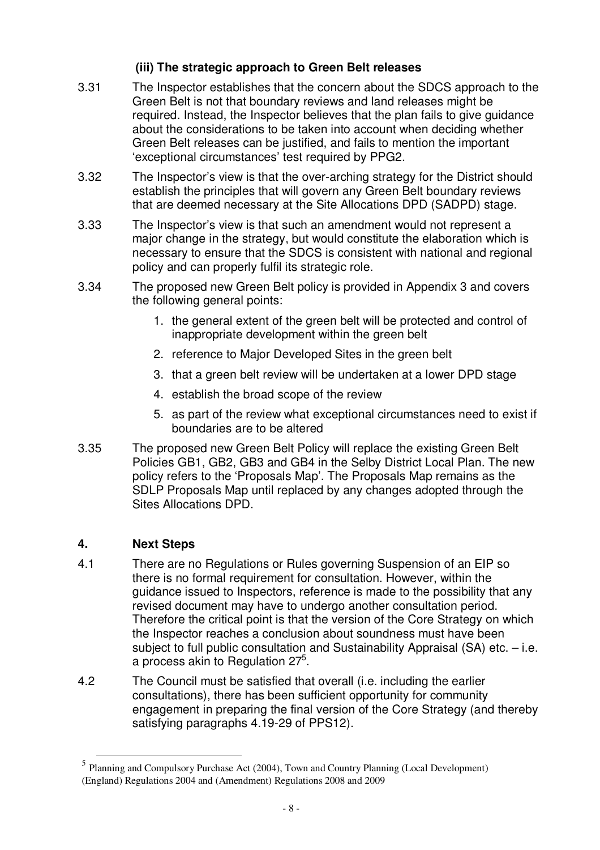# **(iii) The strategic approach to Green Belt releases**

- 3.31 The Inspector establishes that the concern about the SDCS approach to the Green Belt is not that boundary reviews and land releases might be required. Instead, the Inspector believes that the plan fails to give guidance about the considerations to be taken into account when deciding whether Green Belt releases can be justified, and fails to mention the important 'exceptional circumstances' test required by PPG2.
- 3.32 The Inspector's view is that the over-arching strategy for the District should establish the principles that will govern any Green Belt boundary reviews that are deemed necessary at the Site Allocations DPD (SADPD) stage.
- 3.33 The Inspector's view is that such an amendment would not represent a major change in the strategy, but would constitute the elaboration which is necessary to ensure that the SDCS is consistent with national and regional policy and can properly fulfil its strategic role.
- 3.34 The proposed new Green Belt policy is provided in Appendix 3 and covers the following general points:
	- 1. the general extent of the green belt will be protected and control of inappropriate development within the green belt
	- 2. reference to Major Developed Sites in the green belt
	- 3. that a green belt review will be undertaken at a lower DPD stage
	- 4. establish the broad scope of the review
	- 5. as part of the review what exceptional circumstances need to exist if boundaries are to be altered
- 3.35 The proposed new Green Belt Policy will replace the existing Green Belt Policies GB1, GB2, GB3 and GB4 in the Selby District Local Plan. The new policy refers to the 'Proposals Map'. The Proposals Map remains as the SDLP Proposals Map until replaced by any changes adopted through the Sites Allocations DPD.

# **4. Next Steps**

- 4.1 There are no Regulations or Rules governing Suspension of an EIP so there is no formal requirement for consultation. However, within the guidance issued to Inspectors, reference is made to the possibility that any revised document may have to undergo another consultation period. Therefore the critical point is that the version of the Core Strategy on which the Inspector reaches a conclusion about soundness must have been subject to full public consultation and Sustainability Appraisal (SA) etc. – i.e. a process akin to Regulation 27<sup>5</sup>.
- 4.2 The Council must be satisfied that overall (i.e. including the earlier consultations), there has been sufficient opportunity for community engagement in preparing the final version of the Core Strategy (and thereby satisfying paragraphs 4.19-29 of PPS12).

<sup>5</sup> Planning and Compulsory Purchase Act (2004), Town and Country Planning (Local Development) (England) Regulations 2004 and (Amendment) Regulations 2008 and 2009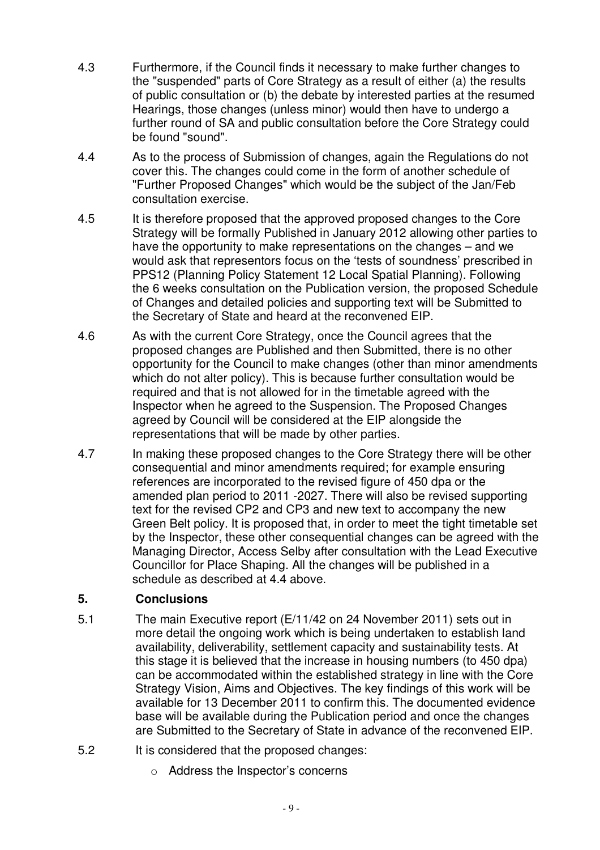- 4.3 Furthermore, if the Council finds it necessary to make further changes to the "suspended" parts of Core Strategy as a result of either (a) the results of public consultation or (b) the debate by interested parties at the resumed Hearings, those changes (unless minor) would then have to undergo a further round of SA and public consultation before the Core Strategy could be found "sound".
- 4.4 As to the process of Submission of changes, again the Regulations do not cover this. The changes could come in the form of another schedule of "Further Proposed Changes" which would be the subject of the Jan/Feb consultation exercise.
- 4.5 It is therefore proposed that the approved proposed changes to the Core Strategy will be formally Published in January 2012 allowing other parties to have the opportunity to make representations on the changes – and we would ask that representors focus on the 'tests of soundness' prescribed in PPS12 (Planning Policy Statement 12 Local Spatial Planning). Following the 6 weeks consultation on the Publication version, the proposed Schedule of Changes and detailed policies and supporting text will be Submitted to the Secretary of State and heard at the reconvened EIP.
- 4.6 As with the current Core Strategy, once the Council agrees that the proposed changes are Published and then Submitted, there is no other opportunity for the Council to make changes (other than minor amendments which do not alter policy). This is because further consultation would be required and that is not allowed for in the timetable agreed with the Inspector when he agreed to the Suspension. The Proposed Changes agreed by Council will be considered at the EIP alongside the representations that will be made by other parties.
- 4.7 In making these proposed changes to the Core Strategy there will be other consequential and minor amendments required; for example ensuring references are incorporated to the revised figure of 450 dpa or the amended plan period to 2011 -2027. There will also be revised supporting text for the revised CP2 and CP3 and new text to accompany the new Green Belt policy. It is proposed that, in order to meet the tight timetable set by the Inspector, these other consequential changes can be agreed with the Managing Director, Access Selby after consultation with the Lead Executive Councillor for Place Shaping. All the changes will be published in a schedule as described at 4.4 above.

#### **5. Conclusions**

- 5.1 The main Executive report (E/11/42 on 24 November 2011) sets out in more detail the ongoing work which is being undertaken to establish land availability, deliverability, settlement capacity and sustainability tests. At this stage it is believed that the increase in housing numbers (to 450 dpa) can be accommodated within the established strategy in line with the Core Strategy Vision, Aims and Objectives. The key findings of this work will be available for 13 December 2011 to confirm this. The documented evidence base will be available during the Publication period and once the changes are Submitted to the Secretary of State in advance of the reconvened EIP.
- 5.2 It is considered that the proposed changes:
	- o Address the Inspector's concerns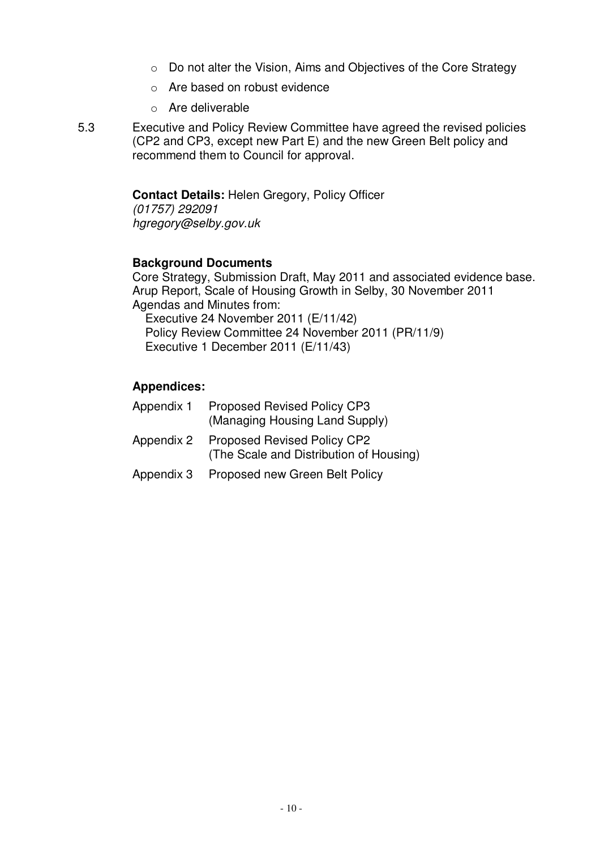- o Do not alter the Vision, Aims and Objectives of the Core Strategy
- o Are based on robust evidence
- o Are deliverable
- 5.3 Executive and Policy Review Committee have agreed the revised policies (CP2 and CP3, except new Part E) and the new Green Belt policy and recommend them to Council for approval.

#### **Contact Details:** Helen Gregory, Policy Officer

*(01757) 292091 hgregory@selby.gov.uk*

#### **Background Documents**

Core Strategy, Submission Draft, May 2011 and associated evidence base. Arup Report, Scale of Housing Growth in Selby, 30 November 2011 Agendas and Minutes from:

Executive 24 November 2011 (E/11/42) Policy Review Committee 24 November 2011 (PR/11/9) Executive 1 December 2011 (E/11/43)

#### **Appendices:**

| Appendix 1 | <b>Proposed Revised Policy CP3</b><br>(Managing Housing Land Supply)              |
|------------|-----------------------------------------------------------------------------------|
|            | Appendix 2 Proposed Revised Policy CP2<br>(The Scale and Distribution of Housing) |
|            | Appendix 3 Proposed new Green Belt Policy                                         |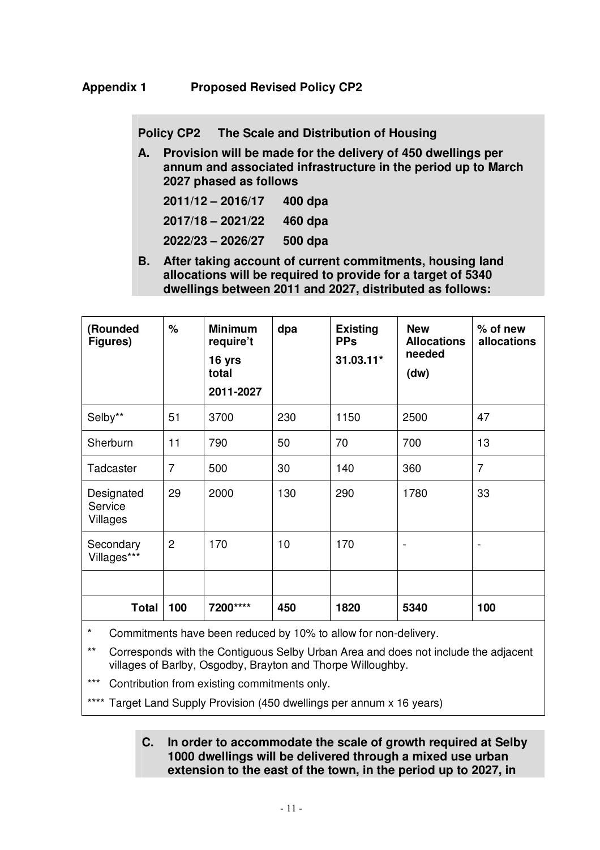**Policy CP2 The Scale and Distribution of Housing**

**A. Provision will be made for the delivery of 450 dwellings per annum and associated infrastructure in the period up to March 2027 phased as follows**

| $2011/12 - 2016/17$ | $400$ dpa |
|---------------------|-----------|
| $2017/18 - 2021/22$ | 460 dpa   |
| 2022/23 - 2026/27   | 500 dpa   |

**B. After taking account of current commitments, housing land allocations will be required to provide for a target of 5340 dwellings between 2011 and 2027, distributed as follows:**

| (Rounded<br>Figures)              | %              | <b>Minimum</b><br>require't<br>16 yrs<br>total<br>2011-2027 | dpa | <b>Existing</b><br><b>PPs</b><br>31.03.11* | <b>New</b><br><b>Allocations</b><br>needed<br>(dw) | $%$ of new<br>allocations |
|-----------------------------------|----------------|-------------------------------------------------------------|-----|--------------------------------------------|----------------------------------------------------|---------------------------|
| Selby**                           | 51             | 3700                                                        | 230 | 1150                                       | 2500                                               | 47                        |
| Sherburn                          | 11             | 790                                                         | 50  | 70                                         | 700                                                | 13                        |
| Tadcaster                         | $\overline{7}$ | 500                                                         | 30  | 140                                        | 360                                                | $\overline{7}$            |
| Designated<br>Service<br>Villages | 29             | 2000                                                        | 130 | 290                                        | 1780                                               | 33                        |
| Secondary<br>Villages***          | $\overline{c}$ | 170                                                         | 10  | 170                                        | $\overline{\phantom{a}}$                           | $\overline{a}$            |
|                                   |                |                                                             |     |                                            |                                                    |                           |
| <b>Total</b>                      | 100            | 7200****                                                    | 450 | 1820                                       | 5340                                               | 100                       |

\* Commitments have been reduced by 10% to allow for non-delivery.

\*\* Corresponds with the Contiguous Selby Urban Area and does not include the adjacent villages of Barlby, Osgodby, Brayton and Thorpe Willoughby.

\*\*\* Contribution from existing commitments only.

\*\*\*\* Target Land Supply Provision (450 dwellings per annum x 16 years)

#### **C. In order to accommodate the scale of growth required at Selby 1000 dwellings will be delivered through a mixed use urban extension to the east of the town, in the period up to 2027, in**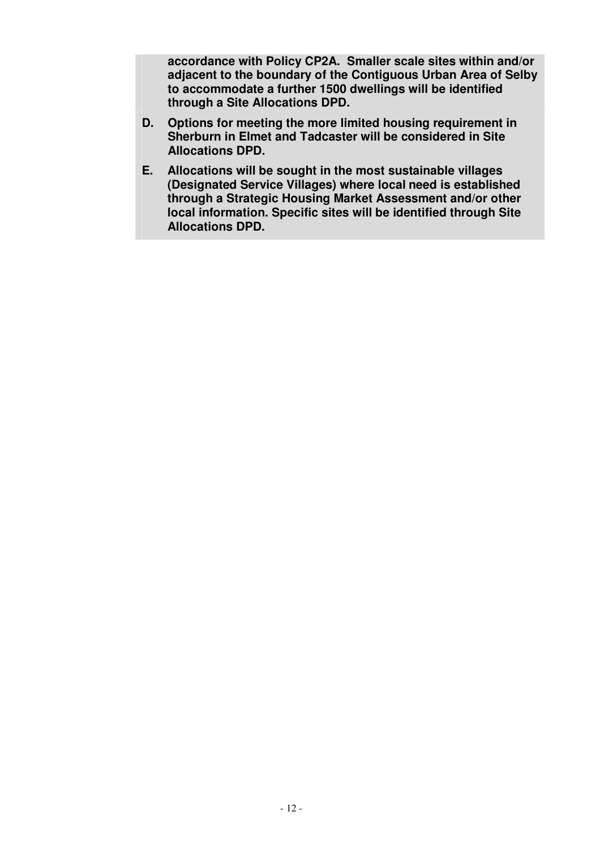**accordance with Policy CP2A. Smaller scale sites within and/or adjacent to the boundary of the Contiguous Urban Area of Selby to accommodate a further 1500 dwellings will be identified through a Site Allocations DPD.**

- **D. Options for meeting the more limited housing requirement in Sherburn in Elmet and Tadcaster will be considered in Site Allocations DPD.**
- **E. Allocations will be sought in the most sustainable villages (Designated Service Villages) where local need is established through a Strategic Housing Market Assessment and/or other local information. Specific sites will be identified through Site Allocations DPD.**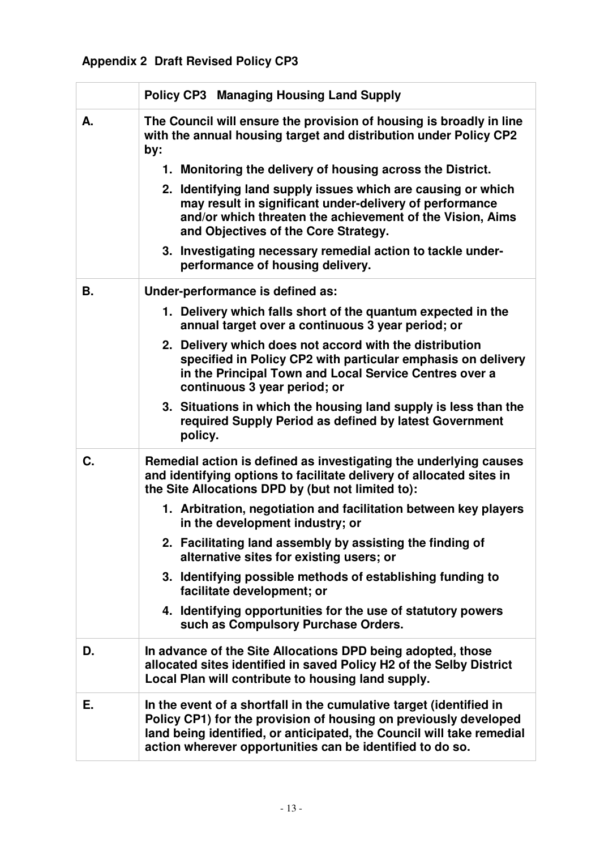# **Appendix 2 Draft Revised Policy CP3**

|    | <b>Policy CP3 Managing Housing Land Supply</b>                                                                                                                                                                                                                                |
|----|-------------------------------------------------------------------------------------------------------------------------------------------------------------------------------------------------------------------------------------------------------------------------------|
| А. | The Council will ensure the provision of housing is broadly in line<br>with the annual housing target and distribution under Policy CP2<br>by:                                                                                                                                |
|    | 1. Monitoring the delivery of housing across the District.                                                                                                                                                                                                                    |
|    | 2. Identifying land supply issues which are causing or which<br>may result in significant under-delivery of performance<br>and/or which threaten the achievement of the Vision, Aims<br>and Objectives of the Core Strategy.                                                  |
|    | 3. Investigating necessary remedial action to tackle under-<br>performance of housing delivery.                                                                                                                                                                               |
| В. | Under-performance is defined as:                                                                                                                                                                                                                                              |
|    | 1. Delivery which falls short of the quantum expected in the<br>annual target over a continuous 3 year period; or                                                                                                                                                             |
|    | 2. Delivery which does not accord with the distribution<br>specified in Policy CP2 with particular emphasis on delivery<br>in the Principal Town and Local Service Centres over a<br>continuous 3 year period; or                                                             |
|    | 3. Situations in which the housing land supply is less than the<br>required Supply Period as defined by latest Government<br>policy.                                                                                                                                          |
| C. | Remedial action is defined as investigating the underlying causes<br>and identifying options to facilitate delivery of allocated sites in<br>the Site Allocations DPD by (but not limited to):                                                                                |
|    | 1. Arbitration, negotiation and facilitation between key players<br>in the development industry; or                                                                                                                                                                           |
|    | 2. Facilitating land assembly by assisting the finding of<br>alternative sites for existing users; or                                                                                                                                                                         |
|    | 3. Identifying possible methods of establishing funding to<br>facilitate development; or                                                                                                                                                                                      |
|    | 4. Identifying opportunities for the use of statutory powers<br>such as Compulsory Purchase Orders.                                                                                                                                                                           |
| D. | In advance of the Site Allocations DPD being adopted, those<br>allocated sites identified in saved Policy H2 of the Selby District<br>Local Plan will contribute to housing land supply.                                                                                      |
| Е. | In the event of a shortfall in the cumulative target (identified in<br>Policy CP1) for the provision of housing on previously developed<br>land being identified, or anticipated, the Council will take remedial<br>action wherever opportunities can be identified to do so. |